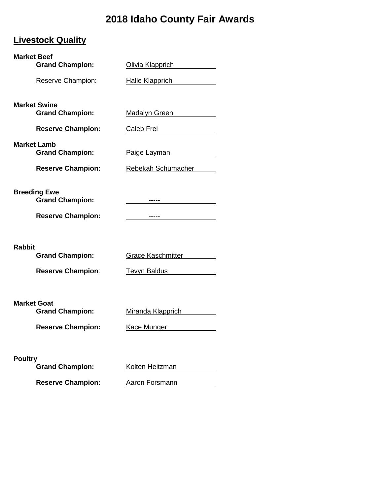# **2018 Idaho County Fair Awards**

## **Livestock Quality**

| <b>Market Beef</b>                            |                                 |
|-----------------------------------------------|---------------------------------|
| <b>Grand Champion:</b>                        | Olivia Klapprich                |
| Reserve Champion:                             | <b>Halle Klapprich</b>          |
| <b>Market Swine</b>                           |                                 |
| <b>Grand Champion:</b>                        | Madalyn Green                   |
| <b>Reserve Champion:</b>                      | Caleb Frei<br><u>Caleb</u> Frei |
| <b>Market Lamb</b><br><b>Grand Champion:</b>  | Paige Layman                    |
| <b>Reserve Champion:</b>                      | Rebekah Schumacher              |
| <b>Breeding Ewe</b><br><b>Grand Champion:</b> | -----                           |
| <b>Reserve Champion:</b>                      | -----                           |
|                                               |                                 |
| <b>Rabbit</b><br><b>Grand Champion:</b>       | <b>Grace Kaschmitter</b>        |
| <b>Reserve Champion:</b>                      | <b>Tevyn Baldus</b>             |
|                                               |                                 |
| <b>Market Goat</b><br><b>Grand Champion:</b>  | Miranda Klapprich               |
| <b>Reserve Champion:</b>                      | Kace Munger                     |
|                                               |                                 |
| <b>Poultry</b>                                |                                 |
| <b>Grand Champion:</b>                        | Kolten Heitzman                 |

Reserve Champion: **Aaron Forsmann**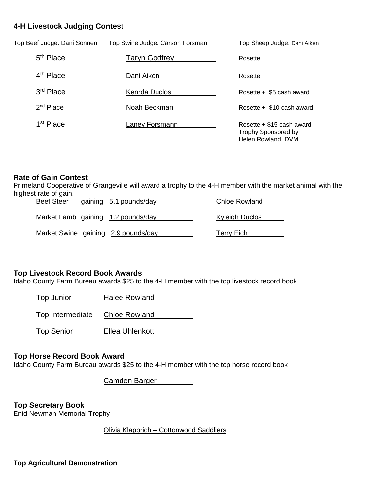#### **4-H Livestock Judging Contest**

| Top Beef Judge <u>: Dani Sonnen</u> | Top Swine Judge: Carson Forsman | Top Sheep Judge: Dani Aiken                                                     |
|-------------------------------------|---------------------------------|---------------------------------------------------------------------------------|
| $5th$ Place                         | <b>Taryn Godfrey</b>            | Rosette                                                                         |
| 4 <sup>th</sup> Place               | Dani Aiken                      | Rosette                                                                         |
| 3 <sup>rd</sup> Place               | Kenrda Duclos                   | Rosette + \$5 cash award                                                        |
| $2nd$ Place                         | Noah Beckman                    | Rosette + \$10 cash award                                                       |
| 1 <sup>st</sup> Place               | Laney Forsmann                  | Rosette $+$ \$15 cash award<br><b>Trophy Sponsored by</b><br>Helen Rowland, DVM |

#### **Rate of Gain Contest**

Primeland Cooperative of Grangeville will award a trophy to the 4-H member with the market animal with the highest rate of gain. Beef Steer gaining 5.1 pounds/day Chloe Rowland

| <b>Beef Steer</b> | gaining 5.1 pounds/day              | Chloe Rowland  |
|-------------------|-------------------------------------|----------------|
|                   | Market Lamb gaining 1.2 pounds/day  | Kyleigh Duclos |
|                   | Market Swine gaining 2.9 pounds/day | Terry Eich     |

#### **Top Livestock Record Book Awards**

Idaho County Farm Bureau awards \$25 to the 4-H member with the top livestock record book

Top Junior Halee Rowland

Top Intermediate Chloe Rowland

Top Senior **Ellea Uhlenkott** 

#### **Top Horse Record Book Award**

Idaho County Farm Bureau awards \$25 to the 4-H member with the top horse record book

Camden Barger

**Top Secretary Book** Enid Newman Memorial Trophy

Olivia Klapprich – Cottonwood Saddliers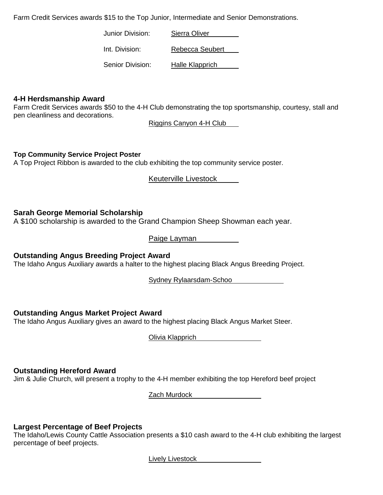Farm Credit Services awards \$15 to the Top Junior, Intermediate and Senior Demonstrations.

Junior Division: Sierra Oliver

Int. Division: Rebecca Seubert

Senior Division: Halle Klapprich

#### **4-H Herdsmanship Award**

Farm Credit Services awards \$50 to the 4-H Club demonstrating the top sportsmanship, courtesy, stall and pen cleanliness and decorations.

Riggins Canyon 4-H Club

**Top Community Service Project Poster**

A Top Project Ribbon is awarded to the club exhibiting the top community service poster.

Keuterville Livestock

#### **Sarah George Memorial Scholarship**

A \$100 scholarship is awarded to the Grand Champion Sheep Showman each year.

Paige Layman

**Outstanding Angus Breeding Project Award**

The Idaho Angus Auxiliary awards a halter to the highest placing Black Angus Breeding Project.

Sydney Rylaarsdam-Schoo

#### **Outstanding Angus Market Project Award**

The Idaho Angus Auxiliary gives an award to the highest placing Black Angus Market Steer.

Olivia Klapprich

#### **Outstanding Hereford Award**

Jim & Julie Church, will present a trophy to the 4-H member exhibiting the top Hereford beef project

Zach Murdock

#### **Largest Percentage of Beef Projects**

The Idaho/Lewis County Cattle Association presents a \$10 cash award to the 4-H club exhibiting the largest percentage of beef projects.

Lively Livestock **Limitary** 2004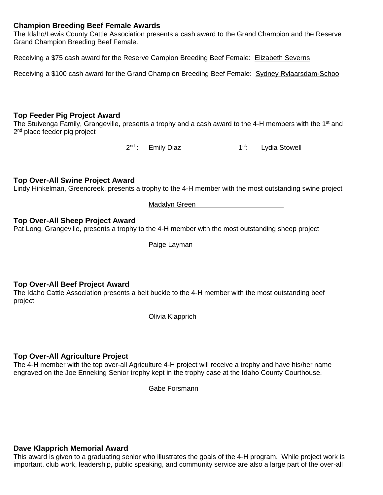#### **Champion Breeding Beef Female Awards**

The Idaho/Lewis County Cattle Association presents a cash award to the Grand Champion and the Reserve Grand Champion Breeding Beef Female.

Receiving a \$75 cash award for the Reserve Campion Breeding Beef Female: Elizabeth Severns

Receiving a \$100 cash award for the Grand Champion Breeding Beef Female: Sydney Rylaarsdam-Schoo

#### **Top Feeder Pig Project Award**

The Stuivenga Family, Grangeville, presents a trophy and a cash award to the 4-H members with the 1<sup>st</sup> and 2<sup>nd</sup> place feeder pig project

2<sup>nd</sup> : Emily Diaz 1<sup>st</sup>: Lydia Stowell

#### **Top Over-All Swine Project Award**

Lindy Hinkelman, Greencreek, presents a trophy to the 4-H member with the most outstanding swine project

Madalyn Green

#### **Top Over-All Sheep Project Award**

Pat Long, Grangeville, presents a trophy to the 4-H member with the most outstanding sheep project

Paige Layman

#### **Top Over-All Beef Project Award**

The Idaho Cattle Association presents a belt buckle to the 4-H member with the most outstanding beef project

Olivia Klapprich

#### **Top Over-All Agriculture Project**

The 4-H member with the top over-all Agriculture 4-H project will receive a trophy and have his/her name engraved on the Joe Enneking Senior trophy kept in the trophy case at the Idaho County Courthouse.

Gabe Forsmann

#### **Dave Klapprich Memorial Award**

This award is given to a graduating senior who illustrates the goals of the 4-H program. While project work is important, club work, leadership, public speaking, and community service are also a large part of the over-all